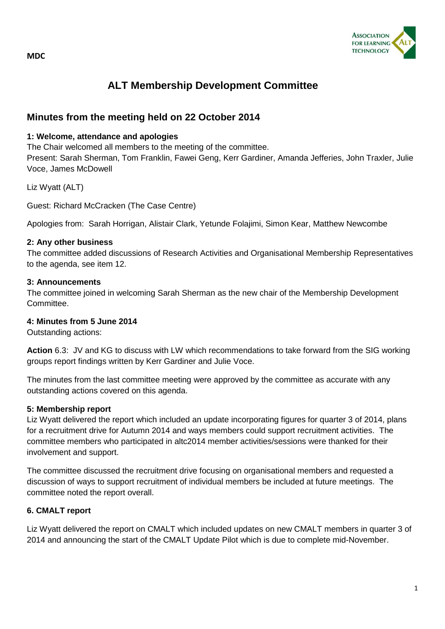

# **ALT Membership Development Committee**

# **Minutes from the meeting held on 22 October 2014**

#### **1: Welcome, attendance and apologies**

The Chair welcomed all members to the meeting of the committee.

Present: Sarah Sherman, Tom Franklin, Fawei Geng, Kerr Gardiner, Amanda Jefferies, John Traxler, Julie Voce, James McDowell

Liz Wyatt (ALT)

Guest: Richard McCracken (The Case Centre)

Apologies from: Sarah Horrigan, Alistair Clark, Yetunde Folajimi, Simon Kear, Matthew Newcombe

#### **2: Any other business**

The committee added discussions of Research Activities and Organisational Membership Representatives to the agenda, see item 12.

#### **3: Announcements**

The committee joined in welcoming Sarah Sherman as the new chair of the Membership Development Committee.

#### **4: Minutes from 5 June 2014**

Outstanding actions:

**Action** 6.3: JV and KG to discuss with LW which recommendations to take forward from the SIG working groups report findings written by Kerr Gardiner and Julie Voce.

The minutes from the last committee meeting were approved by the committee as accurate with any outstanding actions covered on this agenda.

#### **5: Membership report**

Liz Wyatt delivered the report which included an update incorporating figures for quarter 3 of 2014, plans for a recruitment drive for Autumn 2014 and ways members could support recruitment activities. The committee members who participated in altc2014 member activities/sessions were thanked for their involvement and support.

The committee discussed the recruitment drive focusing on organisational members and requested a discussion of ways to support recruitment of individual members be included at future meetings. The committee noted the report overall.

## **6. CMALT report**

Liz Wyatt delivered the report on CMALT which included updates on new CMALT members in quarter 3 of 2014 and announcing the start of the CMALT Update Pilot which is due to complete mid-November.

**MDC**